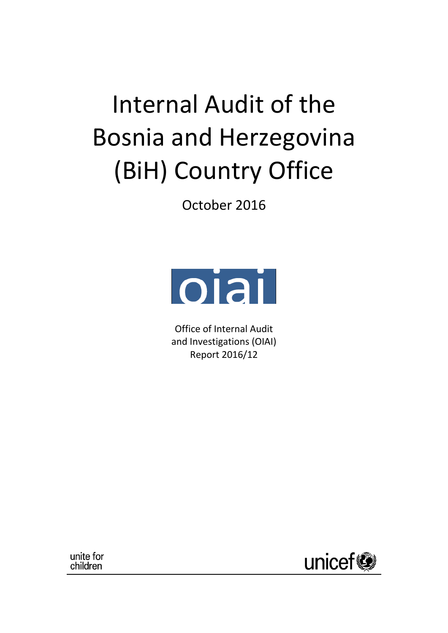# Internal Audit of the Bosnia and Herzegovina (BiH) Country Office

October 2016



Office of Internal Audit and Investigations (OIAI) Report 2016/12

unite for children

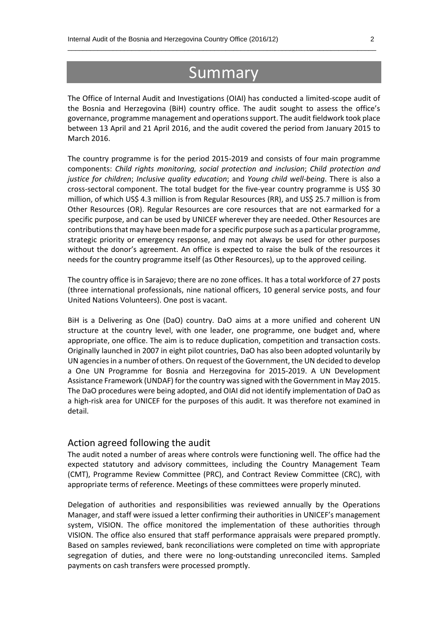## **Summary**

 $\_$  , and the set of the set of the set of the set of the set of the set of the set of the set of the set of the set of the set of the set of the set of the set of the set of the set of the set of the set of the set of th

The Office of Internal Audit and Investigations (OIAI) has conducted a limited-scope audit of the Bosnia and Herzegovina (BiH) country office. The audit sought to assess the office's governance, programme management and operations support. The audit fieldwork took place between 13 April and 21 April 2016, and the audit covered the period from January 2015 to March 2016.

The country programme is for the period 2015-2019 and consists of four main programme components: *Child rights monitoring, social protection and inclusion*; *Child protection and justice for children*; *Inclusive quality education*; and *Young child well-being*. There is also a cross-sectoral component. The total budget for the five-year country programme is US\$ 30 million, of which US\$ 4.3 million is from Regular Resources (RR), and US\$ 25.7 million is from Other Resources (OR). Regular Resources are core resources that are not earmarked for a specific purpose, and can be used by UNICEF wherever they are needed. Other Resources are contributions that may have been made for a specific purpose such as a particular programme, strategic priority or emergency response, and may not always be used for other purposes without the donor's agreement. An office is expected to raise the bulk of the resources it needs for the country programme itself (as Other Resources), up to the approved ceiling.

The country office is in Sarajevo; there are no zone offices. It has a total workforce of 27 posts (three international professionals, nine national officers, 10 general service posts, and four United Nations Volunteers). One post is vacant.

BiH is a Delivering as One (DaO) country. DaO aims at a more unified and coherent UN structure at the country level, with one leader, one programme, one budget and, where appropriate, one office. The aim is to reduce duplication, competition and transaction costs. Originally launched in 2007 in eight pilot countries, DaO has also been adopted voluntarily by UN agencies in a number of others. On request of the Government, the UN decided to develop a One UN Programme for Bosnia and Herzegovina for 2015-2019. A UN Development Assistance Framework (UNDAF) for the country was signed with the Government in May 2015. The DaO procedures were being adopted, and OIAI did not identify implementation of DaO as a high-risk area for UNICEF for the purposes of this audit. It was therefore not examined in detail.

#### Action agreed following the audit

The audit noted a number of areas where controls were functioning well. The office had the expected statutory and advisory committees, including the Country Management Team (CMT), Programme Review Committee (PRC), and Contract Review Committee (CRC), with appropriate terms of reference. Meetings of these committees were properly minuted.

Delegation of authorities and responsibilities was reviewed annually by the Operations Manager, and staff were issued a letter confirming their authorities in UNICEF's management system, VISION. The office monitored the implementation of these authorities through VISION. The office also ensured that staff performance appraisals were prepared promptly. Based on samples reviewed, bank reconciliations were completed on time with appropriate segregation of duties, and there were no long-outstanding unreconciled items. Sampled payments on cash transfers were processed promptly.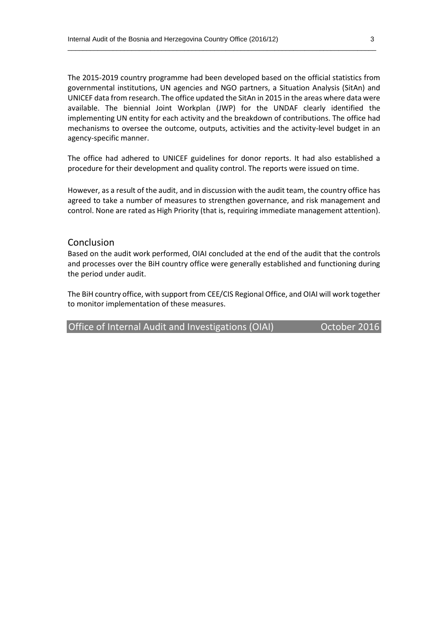The 2015-2019 country programme had been developed based on the official statistics from governmental institutions, UN agencies and NGO partners, a Situation Analysis (SitAn) and UNICEF data from research. The office updated the SitAn in 2015 in the areas where data were available. The biennial Joint Workplan (JWP) for the UNDAF clearly identified the implementing UN entity for each activity and the breakdown of contributions. The office had mechanisms to oversee the outcome, outputs, activities and the activity-level budget in an agency-specific manner.

 $\_$  , and the set of the set of the set of the set of the set of the set of the set of the set of the set of the set of the set of the set of the set of the set of the set of the set of the set of the set of the set of th

The office had adhered to UNICEF guidelines for donor reports. It had also established a procedure for their development and quality control. The reports were issued on time.

However, as a result of the audit, and in discussion with the audit team, the country office has agreed to take a number of measures to strengthen governance, and risk management and control. None are rated as High Priority (that is, requiring immediate management attention).

#### Conclusion

Based on the audit work performed, OIAI concluded at the end of the audit that the controls and processes over the BiH country office were generally established and functioning during the period under audit.

The BiH country office, with support from CEE/CIS Regional Office, and OIAI will work together to monitor implementation of these measures.

Office of Internal Audit and Investigations (OIAI) Corporation Corporations (Office 2016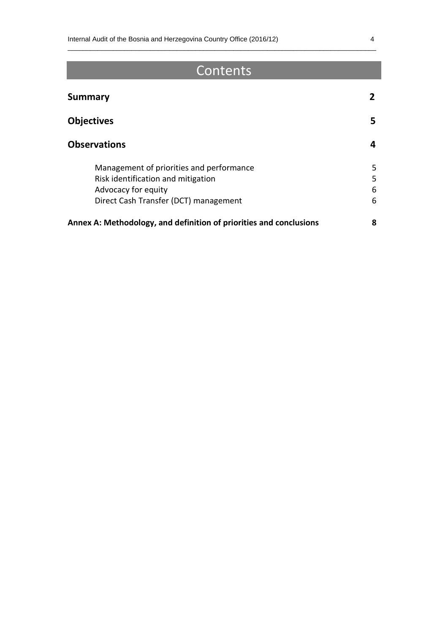# **Contents**

 $\_$  , and the set of the set of the set of the set of the set of the set of the set of the set of the set of the set of the set of the set of the set of the set of the set of the set of the set of the set of the set of th

| <b>Summary</b>                                                     |        |
|--------------------------------------------------------------------|--------|
| <b>Objectives</b><br><b>Observations</b>                           | 5<br>4 |
|                                                                    |        |
| Advocacy for equity                                                | 6      |
| Direct Cash Transfer (DCT) management                              | 6      |
| Annex A: Methodology, and definition of priorities and conclusions | 8      |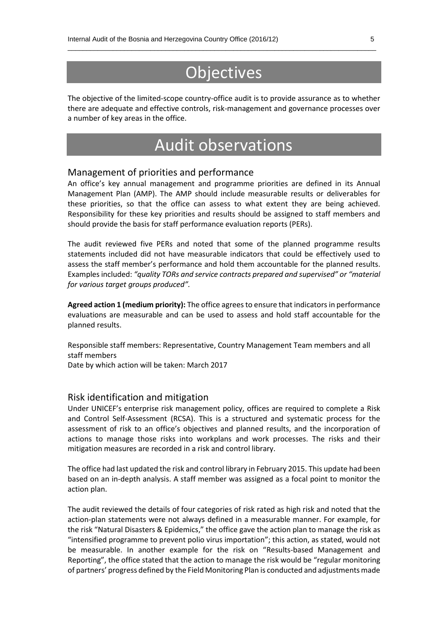# **Objectives**

 $\_$  , and the set of the set of the set of the set of the set of the set of the set of the set of the set of the set of the set of the set of the set of the set of the set of the set of the set of the set of the set of th

The objective of the limited-scope country-office audit is to provide assurance as to whether there are adequate and effective controls, risk-management and governance processes over a number of key areas in the office.

# Audit observations

#### Management of priorities and performance

An office's key annual management and programme priorities are defined in its Annual Management Plan (AMP). The AMP should include measurable results or deliverables for these priorities, so that the office can assess to what extent they are being achieved. Responsibility for these key priorities and results should be assigned to staff members and should provide the basis for staff performance evaluation reports (PERs).

The audit reviewed five PERs and noted that some of the planned programme results statements included did not have measurable indicators that could be effectively used to assess the staff member's performance and hold them accountable for the planned results. Examples included: *"quality TORs and service contracts prepared and supervised" or "material for various target groups produced".*

**Agreed action 1 (medium priority):** The office agrees to ensure that indicatorsin performance evaluations are measurable and can be used to assess and hold staff accountable for the planned results.

Responsible staff members: Representative, Country Management Team members and all staff members Date by which action will be taken: March 2017

#### Risk identification and mitigation

Under UNICEF's enterprise risk management policy, offices are required to complete a Risk and Control Self-Assessment (RCSA). This is a structured and systematic process for the assessment of risk to an office's objectives and planned results, and the incorporation of actions to manage those risks into workplans and work processes. The risks and their mitigation measures are recorded in a risk and control library.

The office had last updated the risk and control library in February 2015. This update had been based on an in-depth analysis. A staff member was assigned as a focal point to monitor the action plan.

The audit reviewed the details of four categories of risk rated as high risk and noted that the action-plan statements were not always defined in a measurable manner. For example, for the risk "Natural Disasters & Epidemics," the office gave the action plan to manage the risk as "intensified programme to prevent polio virus importation"; this action, as stated, would not be measurable. In another example for the risk on "Results-based Management and Reporting", the office stated that the action to manage the risk would be "regular monitoring of partners' progress defined by the Field Monitoring Plan is conducted and adjustments made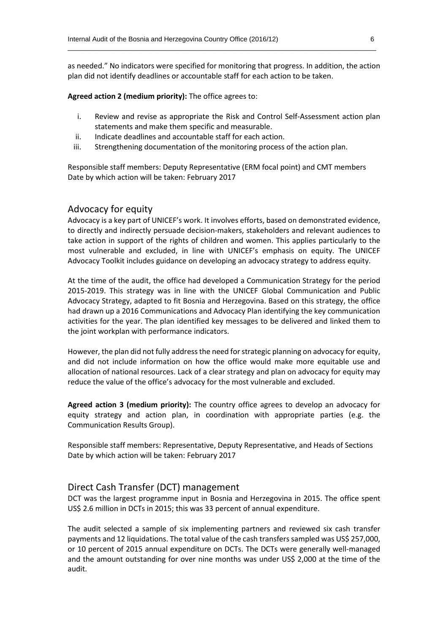as needed." No indicators were specified for monitoring that progress. In addition, the action plan did not identify deadlines or accountable staff for each action to be taken.

 $\_$  , and the set of the set of the set of the set of the set of the set of the set of the set of the set of the set of the set of the set of the set of the set of the set of the set of the set of the set of the set of th

**Agreed action 2 (medium priority):** The office agrees to:

- i. Review and revise as appropriate the Risk and Control Self-Assessment action plan statements and make them specific and measurable.
- ii. Indicate deadlines and accountable staff for each action.
- iii. Strengthening documentation of the monitoring process of the action plan.

Responsible staff members: Deputy Representative (ERM focal point) and CMT members Date by which action will be taken: February 2017

#### Advocacy for equity

Advocacy is a key part of UNICEF's work. It involves efforts, based on demonstrated evidence, to directly and indirectly persuade decision-makers, stakeholders and relevant audiences to take action in support of the rights of children and women. This applies particularly to the most vulnerable and excluded, in line with UNICEF's emphasis on equity. The UNICEF Advocacy Toolkit includes guidance on developing an advocacy strategy to address equity.

At the time of the audit, the office had developed a Communication Strategy for the period 2015-2019. This strategy was in line with the UNICEF Global Communication and Public Advocacy Strategy, adapted to fit Bosnia and Herzegovina. Based on this strategy, the office had drawn up a 2016 Communications and Advocacy Plan identifying the key communication activities for the year. The plan identified key messages to be delivered and linked them to the joint workplan with performance indicators.

However, the plan did not fully address the need for strategic planning on advocacy for equity, and did not include information on how the office would make more equitable use and allocation of national resources. Lack of a clear strategy and plan on advocacy for equity may reduce the value of the office's advocacy for the most vulnerable and excluded.

**Agreed action 3 (medium priority):** The country office agrees to develop an advocacy for equity strategy and action plan, in coordination with appropriate parties (e.g. the Communication Results Group).

Responsible staff members: Representative, Deputy Representative, and Heads of Sections Date by which action will be taken: February 2017

#### Direct Cash Transfer (DCT) management

DCT was the largest programme input in Bosnia and Herzegovina in 2015. The office spent US\$ 2.6 million in DCTs in 2015; this was 33 percent of annual expenditure.

The audit selected a sample of six implementing partners and reviewed six cash transfer payments and 12 liquidations. The total value of the cash transfers sampled was US\$ 257,000, or 10 percent of 2015 annual expenditure on DCTs. The DCTs were generally well-managed and the amount outstanding for over nine months was under US\$ 2,000 at the time of the audit.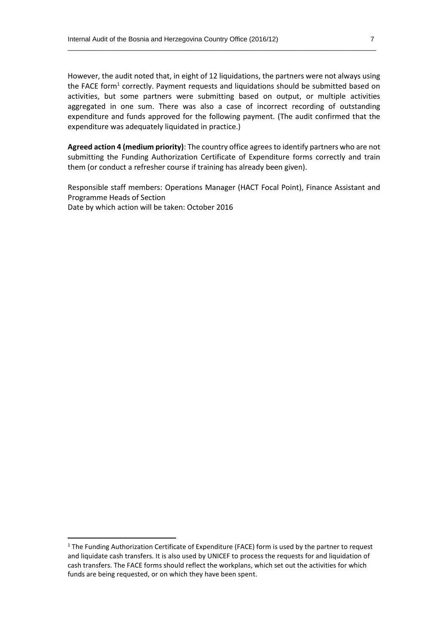However, the audit noted that, in eight of 12 liquidations, the partners were not always using the FACE form<sup>1</sup> correctly. Payment requests and liquidations should be submitted based on activities, but some partners were submitting based on output, or multiple activities aggregated in one sum. There was also a case of incorrect recording of outstanding expenditure and funds approved for the following payment. (The audit confirmed that the expenditure was adequately liquidated in practice.)

 $\_$  , and the set of the set of the set of the set of the set of the set of the set of the set of the set of the set of the set of the set of the set of the set of the set of the set of the set of the set of the set of th

**Agreed action 4 (medium priority)**: The country office agrees to identify partners who are not submitting the Funding Authorization Certificate of Expenditure forms correctly and train them (or conduct a refresher course if training has already been given).

Responsible staff members: Operations Manager (HACT Focal Point), Finance Assistant and Programme Heads of Section Date by which action will be taken: October 2016

**.** 

<sup>&</sup>lt;sup>1</sup> The Funding Authorization Certificate of Expenditure (FACE) form is used by the partner to request and liquidate cash transfers. It is also used by UNICEF to process the requests for and liquidation of cash transfers. The FACE forms should reflect the workplans, which set out the activities for which funds are being requested, or on which they have been spent.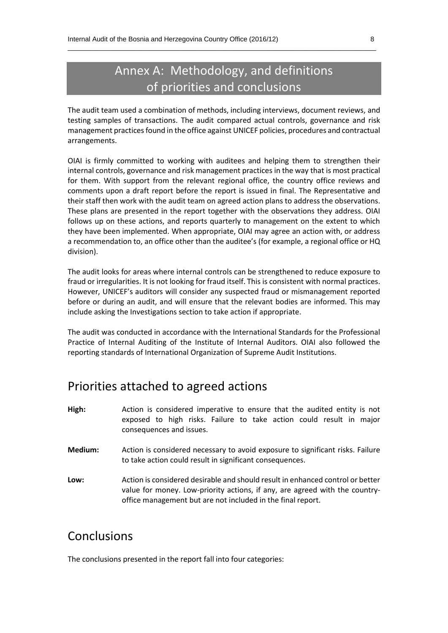### Annex A: Methodology, and definitions of priorities and conclusions

 $\_$  , and the set of the set of the set of the set of the set of the set of the set of the set of the set of the set of the set of the set of the set of the set of the set of the set of the set of the set of the set of th

The audit team used a combination of methods, including interviews, document reviews, and testing samples of transactions. The audit compared actual controls, governance and risk management practices found in the office against UNICEF policies, procedures and contractual arrangements.

OIAI is firmly committed to working with auditees and helping them to strengthen their internal controls, governance and risk management practices in the way that is most practical for them. With support from the relevant regional office, the country office reviews and comments upon a draft report before the report is issued in final. The Representative and their staff then work with the audit team on agreed action plans to address the observations. These plans are presented in the report together with the observations they address. OIAI follows up on these actions, and reports quarterly to management on the extent to which they have been implemented. When appropriate, OIAI may agree an action with, or address a recommendation to, an office other than the auditee's (for example, a regional office or HQ division).

The audit looks for areas where internal controls can be strengthened to reduce exposure to fraud or irregularities. It is not looking for fraud itself. This is consistent with normal practices. However, UNICEF's auditors will consider any suspected fraud or mismanagement reported before or during an audit, and will ensure that the relevant bodies are informed. This may include asking the Investigations section to take action if appropriate.

The audit was conducted in accordance with the International Standards for the Professional Practice of Internal Auditing of the Institute of Internal Auditors. OIAI also followed the reporting standards of International Organization of Supreme Audit Institutions.

### Priorities attached to agreed actions

- **High:** Action is considered imperative to ensure that the audited entity is not exposed to high risks. Failure to take action could result in major consequences and issues.
- **Medium:** Action is considered necessary to avoid exposure to significant risks. Failure to take action could result in significant consequences.
- **Low:** Action is considered desirable and should result in enhanced control or better value for money. Low-priority actions, if any, are agreed with the countryoffice management but are not included in the final report.

### Conclusions

The conclusions presented in the report fall into four categories: